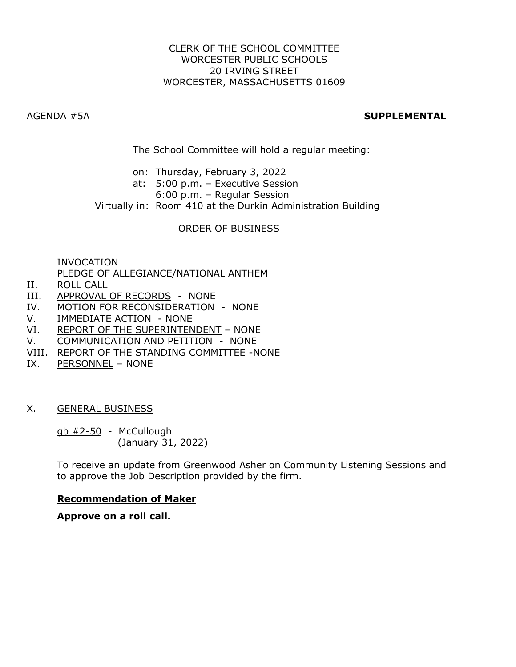### CLERK OF THE SCHOOL COMMITTEE WORCESTER PUBLIC SCHOOLS 20 IRVING STREET WORCESTER, MASSACHUSETTS 01609

# AGENDA #5A **SUPPLEMENTAL**

The School Committee will hold a regular meeting:

- on: Thursday, February 3, 2022
- at: 5:00 p.m. Executive Session
	- 6:00 p.m. Regular Session

Virtually in: Room 410 at the Durkin Administration Building

## ORDER OF BUSINESS

INVOCATION

PLEDGE OF ALLEGIANCE/NATIONAL ANTHEM

- II. ROLL CALL
- III. APPROVAL OF RECORDS NONE
- IV. MOTION FOR RECONSIDERATION NONE
- V. **IMMEDIATE ACTION** NONE
- VI. REPORT OF THE SUPERINTENDENT NONE
- V. COMMUNICATION AND PETITION NONE
- VIII. REPORT OF THE STANDING COMMITTEE -NONE
- IX. PERSONNEL NONE

### X. GENERAL BUSINESS

gb #2-50 - McCullough (January 31, 2022)

To receive an update from Greenwood Asher on Community Listening Sessions and to approve the Job Description provided by the firm.

### **Recommendation of Maker**

**Approve on a roll call.**